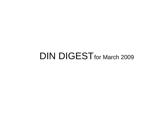## DIN DIGEST for March 2009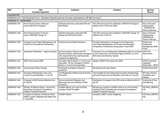| <b>REF</b>             | <b>Title</b><br>(includes hyperlink)                                                                        | <b>Audience</b>                                                                                                                                       | <b>Contains</b>                                                                                                                                          | <b>Sponsor</b><br><b>Branch</b>                                        |
|------------------------|-------------------------------------------------------------------------------------------------------------|-------------------------------------------------------------------------------------------------------------------------------------------------------|----------------------------------------------------------------------------------------------------------------------------------------------------------|------------------------------------------------------------------------|
| Cancelled DIN          |                                                                                                             |                                                                                                                                                       |                                                                                                                                                          |                                                                        |
|                        | 2006DIN04-035 DSA Declaration Form - Mandatory Requirements has now been superseded by JSP 886 Vol 9 part 1 |                                                                                                                                                       |                                                                                                                                                          |                                                                        |
| CHANNEL 01 - PERSONNEL |                                                                                                             |                                                                                                                                                       |                                                                                                                                                          |                                                                        |
| 2009DIN01-037          | Naval Service Terms of Service<br>Issue of BR 8374 Change 9                                                 | All Naval personnel, particularly RN and<br><b>RM Officers</b>                                                                                        | This DIN announces the publication of BR 8374 Change 9,<br>effective from 2 February 2009.                                                               | Navy Command<br>Headquarters<br>- DNPERS HR<br><b>Terms of Service</b> |
| 2009DIN01-038          | Naval Service terms of service -<br>Issue of BR1066 Change 18                                               | All Naval personnel, particularly RN<br>Ratings and RM Other Ranks                                                                                    | This DIN announces the publication of BR1066 Change 18,<br>effective from 2 Feb 09                                                                       | Navy Command<br>Headquarters-<br><b>DNPERS HR</b><br>Terms of Service  |
| 2009DIN01-039          | Changes to the Project Management Job<br>Family and Competence Frameworks                                   | All Service and Civilian Personnel                                                                                                                    | Provides information on changes to the Programme<br>and Project Management Job Family and associated<br>Competence Frameworks taking place in April 2009 | Project and<br>Programme<br>Management Skills<br>Policy                |
| 2009DIN01-040          | Manpower Substitution - Agency Workers                                                                      | All Procurement, Finance and HR<br>Business Partner staff and line managers<br>who request temporary staff (excludes<br><b>Trading Fund Agencies)</b> | The launch of a new Manpower Substitution Service provided<br>by the People Pay and Pensions Agency (PPPA), to cover<br>Skill Zones and Security Guards. | DGCP EF<br>Recruitment                                                 |
| 2009DIN01-041          | MIDIT Recruitment 2009                                                                                      | All civilian staff in Bands C, D and E and<br>equivalent. All line managers of staff in<br>Bands C, D and E and equivalent.                           | Details of MIDIT Recruitment for 2009                                                                                                                    | <b>DGCP Corporate</b><br>Capability<br>Directorate - MIDIT             |
| 2009DIN01-042          | Annual Leave Policy Change                                                                                  | All Regular and Reserve Service<br>personnel                                                                                                          | <b>Revised Annual Leave Policy</b>                                                                                                                       | DCDS (Pers) Strat                                                      |
| 2009DIN01-043          | European Parliamentary and Local<br>County Council Elections - 4 Jun 09                                     | Unit Registration Officers and all Service<br>Personnel                                                                                               | The timetable for the forthcoming European Parliamentary<br>and local County Council Elections to be held on 4 Jun 09                                    | SP Policy Service<br>Conditions and<br>Welfare                         |
| 2009DIN01-044          | Changes to PAX Scheme effective from<br>01 Apr 09                                                           | Service personnel (Regulars and<br>Reserves) who are members of PAX<br>Insurance                                                                      | Notification of changes to the PAX scheme effective from 01<br>Apr 09.                                                                                   | Directorate of Pay<br>and Manning                                      |
| 2009DIN01-045          | Ministry of Defence Police: Annual Pay<br>Award and increase to Competence<br>Related Threshold Payment     | All MDP officers up to and including<br><b>Assistant Chief Constable</b>                                                                              | Revised pay scales for all MDP ranks up to and including<br>Assistant Chief Constable and increase to Competence<br>Related Threshold Payment            | HR Policy, MDPGA<br>HQ                                                 |
| 2009DIN01-046          | Increases to Ministry of Defence Police<br>(MDP) London Weighting with effect from<br>1 July 2008           | All MDP officers                                                                                                                                      | Increase to MDP London Weighting                                                                                                                         | HR Policy, MDPGA<br>HQ                                                 |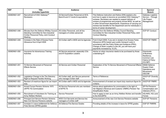| <b>REF</b>    | <b>Title</b><br>(includes hyperlink)                                                                                                     | <b>Audience</b>                                                               | <b>Contains</b>                                                                                                                                                                                                                                                                                                                                                                                        | <b>Sponsor</b><br><b>Branch</b>                                                       |
|---------------|------------------------------------------------------------------------------------------------------------------------------------------|-------------------------------------------------------------------------------|--------------------------------------------------------------------------------------------------------------------------------------------------------------------------------------------------------------------------------------------------------------------------------------------------------------------------------------------------------------------------------------------------------|---------------------------------------------------------------------------------------|
| 2009DIN01-047 | Recruitment of OGC Gateway™<br><b>Reviewers</b>                                                                                          | All Service/Civilian Personnel at SCS,<br>Band B and C1 levels & equivalents. | This Defence Instruction and Notice (DIN) explains why<br>and how to apply to become an accredited OGC Gateway™<br>reviewer. Reviewers are needed to support delivery of<br>reviews of programmes and projects across MOD, as well as<br>in other Government departments. Experience of carrying out<br>reviews has benefits for the Department and for individuals in<br>terms of career development. | Gateway Logistics<br>Service - Through<br>Life Project<br>Management                  |
| 2009DIN01-048 | Minutes from the Defence Whitley Council<br>Standing Committee for Non-Industrial<br>Civilian Personnel Policy Joint Conduct<br>Meeting. | All civilian Personnel, and all line<br>managers of civilian personnel        | Minutes from the Defence Whitley Council Standing<br>Committee for Non-Industrial Civilian Personnel Policy Joint<br>Conduct Meeting.                                                                                                                                                                                                                                                                  | DCP EF Conduct                                                                        |
| 2009DIN01-049 | Increase in the Rate of Excess Fares<br>Allowance from 6 April 2009                                                                      | All Civilian staff in MOD and its Agencies                                    | From 6 April 2009, if you are in receipt of an Excess Fares<br>Allowance (EFA) based upon public transport costs in<br>accordance with the Policy Rules and Guidance (PRG),<br>Change of Work Location in the UK, you will have your<br>payments increased by 10.2%.                                                                                                                                   | <b>DGCP-EF PMRR</b>                                                                   |
| 2009DIN01-050 | Insurance for Adventurous Training<br>Activities                                                                                         | All Service personnel, especially COs<br>and AT Expedition Leaders            | Advice on when insurance needs to be purchased by those<br>undertaking AT                                                                                                                                                                                                                                                                                                                              | Directorate<br>of Business<br>Resilience,<br>Common Law<br>Claims & Policy<br>(CLC&P) |
| 2009DIN01-051 | Tri-Service Movement of Personnel<br><b>Effects Service</b>                                                                              | All Service and Civilian Personnel                                            | Explanation of the Tri-Service Movement of Personnel Effects<br>Service                                                                                                                                                                                                                                                                                                                                | DE&S Defence<br>Supply Chain<br>Operations and<br><b>Movements</b><br><b>DSCOM</b>    |
| 2009DIN01-052 | Legislative Change to the The Statutory<br><b>Right to Request Flexible Working</b>                                                      | All Civilian staff, and Service personnel<br>who manage Civilian staff        | Terms of Reference                                                                                                                                                                                                                                                                                                                                                                                     | <b>DGCP-EF Diversity</b><br>4a                                                        |
| 2009DIN01-053 | Revision of maximum figure for car import<br>duty.                                                                                       | All Civilian staff in MOD and its Agencies                                    | Announcement of revised car import duty maximum figure for<br>civilians.                                                                                                                                                                                                                                                                                                                               | <b>DGCP-EF PMRR</b>                                                                   |
| 2009DIN01-054 | Armed Forces Pension Scheme 1975<br>(AFPS 75) Commutation                                                                                | All Service Personnel who are members<br>of AFPS 75                           | Advice about applications for commutation in the light of<br>Her Majesty's Revenue and Customs' (HMRC) Pension Tax<br><b>Simplification Rules</b>                                                                                                                                                                                                                                                      | SP Pol Pensions<br>Compensation and<br>Veterans (PCV)                                 |
| 2009DIN01-055 | Recruitment of Volunteers for Training as<br>Army Welfare Workers                                                                        | Service Personnel                                                             | How to apply to train as an Army Welfare Worker and transfer<br>to the AGC(SPS)                                                                                                                                                                                                                                                                                                                        | HQ AWS, HQ Land<br>Forces                                                             |
| 2009DIN01-056 | Principal Civil Service Pension Scheme:<br>New Civil Service Pensions website                                                            | MOD Civil Servants and Service line<br>managers of civilian staff             | Announcement of the new Civil Service Pensions website                                                                                                                                                                                                                                                                                                                                                 | <b>DCP-EF Pensions</b>                                                                |
| 2009DIN01-057 | Increase in Leave entitlement for Defence<br>Fires Service (DFRS) grades                                                                 | All Defence Fire Service Grades                                               | Providing details of the increase in leave for DFRS grades                                                                                                                                                                                                                                                                                                                                             | DGP EF PMRR8                                                                          |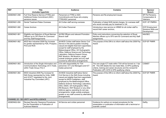| <b>REF</b>    | <b>Title</b><br>(includes hyperlink)                                                                                                                  | <b>Audience</b>                                                                                                                                                                                                                                                                                                                                                                                                                                                                        | <b>Contains</b>                                                                                                                                                                                                                                | Sponsor<br><b>Branch</b>                              |
|---------------|-------------------------------------------------------------------------------------------------------------------------------------------------------|----------------------------------------------------------------------------------------------------------------------------------------------------------------------------------------------------------------------------------------------------------------------------------------------------------------------------------------------------------------------------------------------------------------------------------------------------------------------------------------|------------------------------------------------------------------------------------------------------------------------------------------------------------------------------------------------------------------------------------------------|-------------------------------------------------------|
| 2009DIN01-058 | Full Time Reserve Service (FTRS) and<br><b>Additional Duties Commitment (ADC)</b><br>pensions issues                                                  | Personnel on FTRS or ADC<br>Commitments and those who employ<br>FTRS/ADC personnel                                                                                                                                                                                                                                                                                                                                                                                                     | Pensions and Re-employment issues                                                                                                                                                                                                              | SP Pol Pensions,<br>Compensation &<br>Veterans        |
| 2009DIN01-059 | <b>Dental Treatment Rates Overseas</b>                                                                                                                | All Civilian staff serving overseas                                                                                                                                                                                                                                                                                                                                                                                                                                                    | Publication of latest NHS dental charges, for overseas staff<br>who would normally pay for treatment in UK.                                                                                                                                    | DCP- EF PMRR4                                         |
| 2009DIN01-060 | <b>Career Anchors</b>                                                                                                                                 | All Civilian Personnel                                                                                                                                                                                                                                                                                                                                                                                                                                                                 | Introducing a new service on HRMS for all civilian staff to<br>record their career anchors.                                                                                                                                                    | DCP-Employment<br>Solutions Skills and<br>Development |
| 2009DIN01-061 | Eligibility and Selection of Royal Marines<br>Officers up to OF5 Rank for Command<br>and Key Staff Assignments                                        | All RM Officers and relevant Promotion<br><b>Branch staff</b>                                                                                                                                                                                                                                                                                                                                                                                                                          | Policy and instructions concerning the selection of Royal<br>Marines officers up to OF5 rank for Command and Key Staff<br>assignments.                                                                                                         | <b>NAVSEC</b>                                         |
| 2009DIN01-062 | MOD Non Industrial 2008 Pay Increase<br>for grades represented by FDA, Prospect,<br>PCS and ROA                                                       | All MOD Civilian staff below Senior Civil<br>Service in the above grades including<br>casual and eligible fixed term appointees<br>except for staff employed by the<br>Meteorological Office, UK Hydrographic<br>Office, Defence Science and Technology<br>Laboratory, Defence Support Group,<br>RAF Museum, RN Museum, single<br>outside analogue grades and any staff<br>covered by alternative arrangements.                                                                        | The purpose of this DIN is to inform staff about the 2008 Pay<br>Award                                                                                                                                                                         | <b>DCP-EF PMRR</b>                                    |
| 2009DIN01-063 | Introduction of the Single Information and<br>Communications Technology (ICT) Trade,<br>within Trade Group (TG) 4                                     | COs with responsibility for TG4<br>personnel, ICT Line Managers and ICT<br>trades personnel                                                                                                                                                                                                                                                                                                                                                                                            | The new single ICT trade within TG4 will be formed on 1 Apr<br>09. This DIN details the new trade titles, Q-OPS qualifying<br>criteria, training and career structures and the revised Air<br>Publication (AP) 3376 Q OPS qualifying criteria. | <b>CISMST</b>                                         |
| 2009DIN01-064 | MOD Industrial 2008 Pay Increase for<br>Skill Zones represented by Unite, GMB<br>and UCATT negotiated by the Joint<br>Industrial Pay Committee (JIPC) | All MOD Industrial staff below Senior<br>Civil Service in the Skill Zones including<br>casual and eligible fixed term appointees<br>except for MOD Firefighters, staff<br>employed by the Meteorological Office,<br>Defence Science Technology Laboratory,<br>DSG, DSDA, UK Hydrographic Office,<br>RN Museum, RAF Museum or any other<br>defence agency operating its own pay<br>arrangements, single outside analogue<br>grades or any staff covered by alternative<br>arrangements. | The purpose of this DIN is to inform staff about the 2008 Pay<br>Award                                                                                                                                                                         | <b>DCP-EF PMRR</b>                                    |
|               | CHANNEL 02 - SECURITY and INTELLIGENCE                                                                                                                |                                                                                                                                                                                                                                                                                                                                                                                                                                                                                        |                                                                                                                                                                                                                                                |                                                       |
| 2009DIN02-004 | <b>Revised Security Clearance Procedures</b><br>for the Presentation or Publication of<br><b>Authored Material</b>                                    | All Service and civilian personnel                                                                                                                                                                                                                                                                                                                                                                                                                                                     | Guidance for authors on revised procedures for the<br>presentation or publication of information with a technical or<br>scientific content                                                                                                     | DefSy                                                 |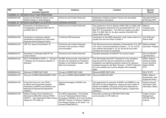| <b>REF</b>    | <b>Title</b><br>(includes hyperlink)                                                                                                                                    | <b>Audience</b>                                                                                                                                                                                                            | <b>Contains</b>                                                                                                                                                                                                                                                                                                   | Sponsor<br><b>Branch</b>                                                      |
|---------------|-------------------------------------------------------------------------------------------------------------------------------------------------------------------------|----------------------------------------------------------------------------------------------------------------------------------------------------------------------------------------------------------------------------|-------------------------------------------------------------------------------------------------------------------------------------------------------------------------------------------------------------------------------------------------------------------------------------------------------------------|-------------------------------------------------------------------------------|
|               | CHANNEL 03 - DEFENCE POLICY AND OPERATIONS                                                                                                                              |                                                                                                                                                                                                                            |                                                                                                                                                                                                                                                                                                                   |                                                                               |
| 2009DIN03-002 | Closure of the Defence Section at the<br>British Embassy in Sofia Bulgaria                                                                                              | All Service and Civilian Personnel                                                                                                                                                                                         | Notification of Defence Section Closure and associated<br>administrative instructions.                                                                                                                                                                                                                            | <b>International Policy</b><br>& Planning (IPP)                               |
|               | CHANNEL 04 - DEFENCE EQUIPMENT and SUPPORT and the DEFENCE ESTATES                                                                                                      |                                                                                                                                                                                                                            |                                                                                                                                                                                                                                                                                                                   |                                                                               |
| 2009DIN04-028 | Declaration of Obsolescence of<br>Cryptographic Equipment BID/ 250 /41<br>and BID/ 250/ 42                                                                              | All Service and Civilian Personnel                                                                                                                                                                                         | This guidance on how to dispose of BID/250/41 & BID/250/<br>42 Cryptographic Equipment and associated BID/ 251/ 41 &<br>BID/251/42 publications. This DIN only relates to the BID/<br>250/41 & BID/250/42, all other variants of the BID/250<br>range remain current.                                             | Defence<br>Cryptosecurity<br>Authority (DCA)                                  |
| 2009DIN04-029 | Introduction of explosive material<br>identification equipment for Improvised<br><b>Explosive Device Disposal Teams</b>                                                 | Tri-Service EOD personnel.                                                                                                                                                                                                 | Introduction of new IEDD equipment, what it does, where it is<br>located and how and when to obtain it.                                                                                                                                                                                                           | Joint EOD and<br>Search Staff.                                                |
| 2009DIN04-030 | JSP 315: Issue of Amendment 19                                                                                                                                          | All Service and Civilian Personnel<br>involved in the provision of MOD<br>Accommodation                                                                                                                                    | This DIN announces the publication of Amendment 19 to JSP<br>315, which covers amendments to Scales 1, 14, 39, and 52,<br>and confirms that Scales 8, 19, 40, 46 and 50 have been<br>reviewed and remain as published                                                                                             | Defence Estates,<br>Ops North, Projects                                       |
| 2009DIN04-031 | Declaration of Obsolete DGM IPT Air<br><b>Cannon Stores</b>                                                                                                             | All Service and Civilian Personnel                                                                                                                                                                                         | Obsolete declaration for DGM IPT Air Cannon stores                                                                                                                                                                                                                                                                | DE & S DGM IPT<br><b>Light Munitions</b>                                      |
| 2009DIN04-032 | ESTC STANDARD 6 (PART 1) - Revision<br>1 Release and Compulsory Adoption of<br>Standard                                                                                 | All M&E Technical staff, responsible for<br>the test and maintenance of explosive<br>facilities on the Defence Estate - both<br>MoD and Contractors.                                                                       | This DIN dictates that ESTC Standard 6 is the mandatory<br>lead document for test and maintenance of electrical<br>installations and lightning protection systems for explosive<br>buildings licensed by the MoD. Revision 1 of ESTC Standard<br>6 is now available and must be adopted with immediate<br>effect. | DE&S, Defence<br>Ordnance Safety<br>Group, Electrical<br>Safety (DOSG<br>ST3) |
| 2009DIN04-033 | Removal of EMER INST A300                                                                                                                                               | All users of EMER INST A300.                                                                                                                                                                                               | Removal EMER INST A300.                                                                                                                                                                                                                                                                                           | DS & TE IPT                                                                   |
| 2009DIN04-034 | Removal of EMER MANAGEMENT N091                                                                                                                                         | All users of EMER MANAGEMENT N091                                                                                                                                                                                          | Removal EMER MA N091                                                                                                                                                                                                                                                                                              | DE&S, Safety &<br>Engineering, Land,<br>Equipment Policy.                     |
| 2009DIN04-035 | Using Tech Docs On Line (TDOL)<br>to deliver Army Equipment Support<br>Publications (AESPs) and Electrical and<br><b>Mechanical Engineering Regulations</b><br>(EMERs). | Sponsors/managers of AESPs and<br><b>EMERs</b>                                                                                                                                                                             | The requirement for sponsors of AESPs and EMERs to use<br>DR TDOL for the management, viewing and print master of<br>AESPs and EMERs, previously printed and distributed by<br>the Defence Storage and Distribution Agency Llangennech<br>(DSDA(L)).                                                              | Director General<br>Information Chief<br>Information Officer                  |
| 2009DIN04-036 | Defence Supply Chain Operations &<br>Movements (DSCOM) Contract DTMA/<br>CB/0731 - New Restricted E-Mail Contact<br>Details for CTS (GB) Ltd                            | Any MOD Organisation / Unit wishing<br>to move Protectively Marked Stores<br>(Excluding COMSEC) up to and including<br>SECRET, Section 5 Firearms, Weapons<br>and Weapon Spares or UN Class 1 via<br>contract DTMA/CB/0731 | Information pertaining to RESTRICTED E-Mail<br>communication to CTS (GB) Ltd                                                                                                                                                                                                                                      | <b>Freight Contract</b><br>Management,<br>DSCOM, DE&S<br>Andover              |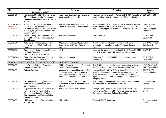| <b>REF</b>                                        | <b>Title</b><br>(includes hyperlink)                                                                                                                                           | <b>Audience</b>                                                                                                                                               | <b>Contains</b>                                                                                                                                                                                                                                                        | Sponsor<br><b>Branch</b>                                           |
|---------------------------------------------------|--------------------------------------------------------------------------------------------------------------------------------------------------------------------------------|---------------------------------------------------------------------------------------------------------------------------------------------------------------|------------------------------------------------------------------------------------------------------------------------------------------------------------------------------------------------------------------------------------------------------------------------|--------------------------------------------------------------------|
| 2009DIN04-037                                     | Publication of Naval Book of Reference<br>BR1326: Regulations for Atmosphere<br>Control in Submarines Edition 4 (October<br>2008)                                              | Royal Navy, Submarine Service and all<br>shore-based support facilities                                                                                       | Publication of Naval Book of Reference BR1326: Regulations<br>for Atmosphere Control in Submarines Edition 4 (October<br>2008)                                                                                                                                         | DES SESea-SM                                                       |
| 2009DIN04-038<br><b>Replaces</b><br>2008DIN04-152 | Addition of UAT, UAP & UAA(4) to<br>the UWS Contractor Logistic Support<br>Arrangement for In Service Major Sonars,<br>AJU/AJN, AVT, ECB680 & Towed Array<br>Support equipment | All RN Service and Civilian Personnel<br>connected with the above equipment                                                                                   | Information and contact details relating to in-service support<br>to the Fleet for Major Sonars, AJU/AJN, AVT, ECB680 &<br>Towed Array Support equipment, UAT, UAP and UAA(4).                                                                                         | Logistic Support,<br>Contractor<br>Logistics Support,<br>Sonar, EW |
| 2009DIN04-039                                     | Stores-Clothing-Retail Prices for RN<br>& RM all Ranks/Rates and associated<br>Cadet Forces                                                                                    | All RN/RM Personnel                                                                                                                                           | <b>Retail Price List</b>                                                                                                                                                                                                                                               | DC IPT DLO<br>Caversfield                                          |
| 2009DIN04-040                                     | Authority to demand prescription only<br>medicines under Wholesale Dealers<br>License.                                                                                         | All personnel working within the Joint<br>Supply Chain and Type 1 (Operational)<br>customers                                                                  | Type 1 customer verification of authority to demand<br>prescription only medicines under Wholesale Dealers<br>Licence.                                                                                                                                                 | Med & GS IPT SO2<br>Ops Support                                    |
| 2009DIN04-041                                     | Declaration of Obsolescence of Lighting<br>Kit (Prick Through) -<br>DMC X1, NSN 6230 99 900 5677                                                                               | <b>LAND</b>                                                                                                                                                   | Informing the authority that Lighting Kit (Prick Through), DMC<br>X1, NSN 6230 99 900 5677 is Declared Obsolescent.                                                                                                                                                    | (LWPB IPT)                                                         |
| 2009DIN04-042                                     | Stores-Clothing-Sword and Scabbard<br>Refurbishment and Replacement                                                                                                            | All Stores personnel                                                                                                                                          | Sword and Scabbard Refurbishment and Replacement<br>Instructions                                                                                                                                                                                                       | DC IPT DE&S<br>Caversfield                                         |
|                                                   | CHANNEL 05 - DEFENCE MANAGEMENT, ORGANISATION and BUSINESS PRACTICE                                                                                                            |                                                                                                                                                               |                                                                                                                                                                                                                                                                        |                                                                    |
| 2009DIN05-009                                     | Mine Warfare Drills and Procedures<br>Committee (MWDPC).                                                                                                                       | All Mine Warfare Squadrons, Ships and<br><b>Training Establishments.</b>                                                                                      | This DIN is an update on the progress and future of the Mine<br>Warfare Drills and Procedures Committee (MWDPC).                                                                                                                                                       | NAVY COMMAND<br>- MW CAPABILITY                                    |
| 2009DIN05-010                                     | Defence Branding                                                                                                                                                               | Members of the Armed Forces and Civil<br>Servants working across Defence who<br>own a visual identity, a communications<br>campaign or work in communications | Launch of the Ministry of Defence brand. Use of branding<br>in tri-Service organisations and the MOD and its agencies.<br>The rules governing the creation of new brands, including<br>logos, and the process for licensing new organisational and<br>campaign brands. | <b>DGMC Def PR</b><br><b>Strategic Marketing</b>                   |
| 2009DIN05-011                                     | Creation of civilian and joint service<br>websites and registration of .mod.uk<br>domain names                                                                                 | Civilian or Joint Service staff with a<br>requirement to publish information to the<br>Internet                                                               | This DIN explains the process for publishing information to<br>the Internet for civilian and tri-Service staff                                                                                                                                                         | CIO Information<br>Services                                        |
| 2009DIN05-012                                     | Departmental Instructions on handling<br>Parliamentary Business including<br>Parliamentary Questions, Ministerial<br>Correspondence and Defence Select<br>Committee business   | All Service and Civilian Personnel                                                                                                                            | Principles and procedures which govern the handling of<br>Parliamentary Questions, Ministerial Correspondence and<br>the House of Commons Defence Committee                                                                                                            | Parliamentary<br><b>Branch</b>                                     |
| 2009DIN05-013                                     | HMS Southampton - Decommissioning<br>and Disposal                                                                                                                              | All Naval Personnel                                                                                                                                           | Disposal of HMS Southampton                                                                                                                                                                                                                                            | Decommissioning<br>Officer                                         |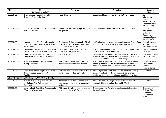| <b>REF</b>    | <b>Title</b><br>(includes hyperlink)                                                             | <b>Audience</b>                                                                                       | <b>Contains</b>                                                                                                                                                                     | Sponsor<br><b>Branch</b>                                                                 |
|---------------|--------------------------------------------------------------------------------------------------|-------------------------------------------------------------------------------------------------------|-------------------------------------------------------------------------------------------------------------------------------------------------------------------------------------|------------------------------------------------------------------------------------------|
| 2009DIN05-014 | Translation services in Head Office -<br>Transfer of responsibilities                            | Head Office staff                                                                                     | Cessation of translation service from 31 March 2009                                                                                                                                 | Defence<br>Intelligence<br>Strategic<br>Assessments-<br>Language Service<br>(DI SA-LSVS) |
| 2009DIN05-015 | Interpreter services in the MoD - Transfer<br>of responsibilities                                | All business units with a requirement for<br>interpreters                                             | Cessation of interpreter services to MOD from 31 March<br>2009                                                                                                                      | Defence<br>Intelligence<br>Strategic<br>Assessments-<br>Language Service<br>(DI SA-LSVS) |
| 2009DIN05-016 | Name Change - The Attack Helicopter<br>Integrated Project Team to the Apache<br>Project Team     | Service and Civilian personnel in DE&S,<br>DEC (ALM), JHC, DAAvn, SAAvn and<br>Comd Wattisham Station | Notification that the Attack Helicopter Integrated Project Team<br>is changing it's name to the Apache Project Team                                                                 | Attack Helicopter<br>IPT/DG<br>Helicopters/DE&S                                          |
| 2009DIN05-017 | Creation and restructuring of Service and<br>civilian posts at one star level and above          | Service and civilian personnel in all<br>TLBs, Agencies and Trading Funds                             | Process for creation and restructuring of Service and civilian<br>posts at one-star level and above                                                                                 | Head of Corporate<br>Capability                                                          |
| 2009DIN05-018 | Relocation and Renaming of the<br>Directorate of Joint Technical Training                        | Defence Wide                                                                                          | Relocation of Directorate of Joint Technical Training from<br>Imjin Barracks, Innsworth to MOD St Athan and renaming of<br>Directorate to HQ Defence Technical College              | Directorate of Joint<br><b>Technical Training</b>                                        |
| 2009DIN05-019 | Transition of the Royal Navy Exercise<br>Mining Capability                                       | All Royal Navy and Civilian Personnel<br>connected with Naval Mine Warfare                            | This DIN provides details of a new TLS certificate issuing<br>capability and outlines the procedures to be followed by<br>application owners and developers requiring certificates. | Officer in Charge<br>Mine Warfare<br>Operational<br><b>Training Centre</b>               |
| 2009DIN05-020 | Procedures for applying for or renewing<br><b>Transport Layer Security (TLS)</b><br>Certificates | MoD Application Owners and Developers<br>using or requiring TLS Certificates                          | This DIN provides details of a new TLS certificate issuing<br>capability and outlines the procedures to be followed by<br>application owners and developers requiring certificates. | CIO DII PKI                                                                              |
|               | CHANNEL 06 - SAFETY, HEALTH, ENVIRONMENT, FIRE                                                   |                                                                                                       |                                                                                                                                                                                     |                                                                                          |
| 2009DIN06-008 | Mission, role and responsibilities of<br>the Defence Fire Risk Management<br>Organisation        | All service and civilian personnel with<br>involvement in the safety of personnel<br>and assets       | This DIN is about making all aware of the mission, role,<br>responsibilities and contact details of DFRMO.                                                                          | HQ DFRMO                                                                                 |
| 2009DIN06-009 | <b>Local Authority Permitting Requirements</b><br>(England & Wales only)                         | All Service & Civilian personnel involved<br>in managing the MOD Estate                               | The procedure for Permitting certain regulated activities on<br>the MOD estate                                                                                                      | Directorate of<br>Safety & Claims,<br>Sustainable<br>Development<br>Policy.              |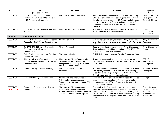| <b>REF</b>                        | <b>Title</b><br>(includes hyperlink)                                                                       | <b>Audience</b>                                                                                                                                             | <b>Contains</b>                                                                                                                                                                                                                                                                                                          | <b>Sponsor</b><br><b>Branch</b>                                                     |
|-----------------------------------|------------------------------------------------------------------------------------------------------------|-------------------------------------------------------------------------------------------------------------------------------------------------------------|--------------------------------------------------------------------------------------------------------------------------------------------------------------------------------------------------------------------------------------------------------------------------------------------------------------------------|-------------------------------------------------------------------------------------|
| 2009DIN06-010                     | JSP 375 - Leaflet 57 - Additional<br>Guidance for Safety at Public Events on<br>MOD Property and Elsewhere | All Service and civilian personnel                                                                                                                          | This DIN introduces additional guidance for Commanding<br>Officers, Event Organisers, Recruiting and Display Teams<br>for safety at public events on MOD Property and elsewhere<br>(resulting from a death of a child and the subsequent Board<br>of Inquiry), to that already covered in JSP 375 Volume 2<br>Leaflet 57 | Safety, Sustainable<br>Development and<br><b>Continuity Division</b>                |
| 2009DIN06-011                     | JSP 815 Defence Environment and Safety   All Service and civilian personnel<br>Management                  |                                                                                                                                                             | The publication of a revised version of JSP 815 Defence<br><b>Environment and Safety Management</b>                                                                                                                                                                                                                      | SSD&C<br>Occupational<br>Health and Safety                                          |
|                                   | CHANNEL 07 - TRAINING and EDUCATION                                                                        |                                                                                                                                                             |                                                                                                                                                                                                                                                                                                                          |                                                                                     |
| 2009DIN07-025                     | Ex FAST NEEDLE 09 - Army Orienteering<br>Association Short Course Championships                            | All Army Personnel                                                                                                                                          | General instruction & entry form for the Army Orienteering<br>Short Course Championships taking place on Wed 19 Mar 09<br>at Pirbright.                                                                                                                                                                                  | Army Orienteering<br>Association                                                    |
| 2009DIN07-026                     | Ex DARK TREK 09- Army Orienteering<br>Association (AOA) Team Night<br>Championships                        | All Army Personnel                                                                                                                                          | General instruction & entry form for the Army Orienteering<br>Team Night Championships taking place on Tue 17 Mar 09<br>on Mytchett Trg Area near Aldershot                                                                                                                                                              | Army Orienteering<br>Association                                                    |
| 2009DIN07-027                     | <b>BAFMA Driving and Navigating Exercise</b><br>Programme 2009                                             | Tri Service - All Units                                                                                                                                     | BAFMA Driving and Navigation Exercise Programme 2009                                                                                                                                                                                                                                                                     |                                                                                     |
| 2009DIN07-028                     | All Arms Unit (AAU) Fire Safety Managers<br>(UFSM) and Fire Safety NCO (UFSNCO)<br>Course information      | All Service and Civilian 'non specialist'<br>personnel with responsibilities for<br>management of fire safety within a unit,<br>sub unit or establishment   | To provide course applicants with the new location for<br>UFSM/UFSNCO courses and revised procedures for course<br>applications                                                                                                                                                                                          | <b>DFRMO Human</b><br>Resources &<br>Development                                    |
| 2009DIN07-029                     | Joint Service Alpine Meet (JSAM 09)                                                                        | All Regular and Reserve Service<br>personnel                                                                                                                | The Joint Services Alpine Meet is an Adventurous Training<br>Group (Army) sponsored Level 3 Adventurous Training<br>Expedition to the European Alps conducted in liaison with<br>Single Service Mountaineering Associations.                                                                                             | <b>Adventure Training</b><br>Group (Army)                                           |
| 2009DIN07-030                     | Revision to Military Knowledge Part 2                                                                      | All Army units and other Service or<br>Civilian Units, Headquarters and<br>Organisations employing Army and RM<br>Officers.                                 | Direction on the implementation of the revised MK2 course<br>design and criteria for selection for promotion to major<br>and attendance on ICSC(L). Overview of the new MK2<br>programme and content.                                                                                                                    | $D$ Trg $(A)$                                                                       |
| 2009DIN07-031<br><b>CANCELLED</b> | Protecting Information Level 1 Training<br>Course.                                                         | All Service and Civilian personnel,<br>including Non Departmental Public<br>Bodies/Trading Funds/Agencies staff. All<br>Contractors who access MoD systems. | As a result of the Data Handling Review into data losses,<br>all Government Departments are mandated to provide a<br>minimum level of information risk awareness training. This<br>DIN provides guidance on the introduction of the Protecting<br>Information Level 1 Computer Based Training course to the<br>MoD.      | Chief Information<br>Office-Information<br>Handling<br>Assurance Team<br>(CIO-IHAT) |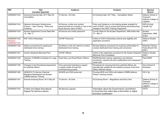| <b>REF</b>                                        | <b>Title</b><br>(includes hyperlink)                                                                    | <b>Audience</b>                                                                                                   | <b>Contains</b>                                                                                                                                                        | <b>Sponsor</b><br><b>Branch</b>                                   |
|---------------------------------------------------|---------------------------------------------------------------------------------------------------------|-------------------------------------------------------------------------------------------------------------------|------------------------------------------------------------------------------------------------------------------------------------------------------------------------|-------------------------------------------------------------------|
| 2009DIN07-032                                     | Exercise Enduring Help 16/17 May 09 -<br>Cancellation                                                   | Tri Service - All Units                                                                                           | Ex Enduring Help 16/17 May - Cancellation Notice                                                                                                                       | Defence School of<br>Transport<br>Defence College of<br>Logistics |
| 2009DIN07-033                                     | Defence Information Infrastructure<br>(Future) - User Training - Policy and<br>Guidance                 | All Service, civilian and contract<br>personnel that are currently or may in the<br>future become users of DII(F) | Policy and Guidance on the training already available for<br>users of DII(F), how to access that training and forthcoming<br>changes to the DII(F) Training Programme. | DES DII-Impl-<br>CandR Trg1                                       |
| 2009DIN07-034                                     | Nuclear Department Course Dates Mar<br>$10 - $ Mar 11                                                   | All Service and civilian personnel                                                                                | Course Dates for the Nuclear Department, HMS Sultan Mar<br>$10 - \text{Mar } 11$                                                                                       | Nuclear<br>Department, HMS<br>Sultan                              |
| 2009DIN07-035<br><b>Replaces</b><br>2008DIN07-074 | RAF CAS's Fellowships                                                                                   | All RAF Personnel                                                                                                 | Outline of CAS's Fellowships scheme plus eligibility and<br>application procedure                                                                                      | Defence Studies<br>(RAF)                                          |
| 2009DIN07-036                                     | Defence procedures for applying for<br>distributed driver training                                      | All Defence units who intend to conduct<br>distributed driver training                                            | Revised Defence procedures for acquiring authorisation to<br>conduct distributed driver training and conversion                                                        | <b>Wheeled Training</b><br>Policy Branch HQ<br><b>DRLC</b>        |
| 2009DIN07-037                                     | Gordon Shephard Memorial Prize                                                                          | All RAF Officers                                                                                                  | Outline of the application procedure for the Gordon Shephard<br><b>Memorial Prize Competition</b>                                                                      | Defence Studies<br>(RAF)                                          |
| 2009DIN07-038                                     | Selection of RN/RM Candidates for Legal<br>Training                                                     | Royal Navy and Royal Marine Officers                                                                              | RN/RM Barrister training: Application and selection<br>procedures, required pre-entry qualifications and subsequent<br>career path.                                    | <b>Fleet DNPS</b>                                                 |
| 2009DIN07-039                                     | Changes to the Educational Assessment<br>for potential officers                                         | Army personnel intending to support<br>a regular soldier through the<br>commissioning process.                    | Procedures for ensuring that Army potential officers are<br>educationally qualified for the selection process at the Army<br>Officer Selection Board.                  | Army School of<br>Education                                       |
| 2009DIN07-040                                     | 2009/2010 Tri-Service Chemical<br><b>Biological Radiological and Nuclear</b><br>(CBRN) Defence Training | All MOD and OGD personnel                                                                                         | Provides MOD and OGDs with details of CBRN defence<br>Phase 3 training courses                                                                                         | HQ 2 Gp                                                           |
| 2009DIN07-041                                     | Exercise Enduring Rover 16/17 May 09                                                                    | Tri Service - All Units                                                                                           | Ex Enduring Rover - Regulations and Entry Form                                                                                                                         | Defence School of<br>Transport<br>Defence College of<br>Logistics |
| 2009DIN07-042                                     | Further and Higher Educational<br><b>Support for Service Leavers</b>                                    | All Service Leavers                                                                                               | Information about the Government's commitment<br>to fund free from tuition fees a first further or higher<br>education qualification                                   | <b>DGTE</b>                                                       |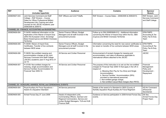| <b>REF</b>    | <b>Title</b><br>(includes hyperlink)                                                                                                                                                                                  | <b>Audience</b>                                                                                                                                                 | <b>Contains</b>                                                                                                                                                                                                                                                                                                                                                                      | Sponsor<br><b>Branch</b>                                            |
|---------------|-----------------------------------------------------------------------------------------------------------------------------------------------------------------------------------------------------------------------|-----------------------------------------------------------------------------------------------------------------------------------------------------------------|--------------------------------------------------------------------------------------------------------------------------------------------------------------------------------------------------------------------------------------------------------------------------------------------------------------------------------------------------------------------------------------|---------------------------------------------------------------------|
| 2009DIN07-043 | Joint Services Command and Staff<br>College - RAF Division - Course<br>Dates for Officer Professional Military<br>Development (Air) Training and other<br>courses for the JSCSC Academic year<br>2008/2009 & 2009/10. | RAF Officers and Unit P Staffs.                                                                                                                                 | RAF Division - Course Dates - 2008/2009 & 2009/2010.                                                                                                                                                                                                                                                                                                                                 | RAF Division, Joint<br>Services Command<br>and Staff College.       |
|               | CHANNEL 08 - FINANCE, ACCOUNTING and BUDGETING                                                                                                                                                                        |                                                                                                                                                                 |                                                                                                                                                                                                                                                                                                                                                                                      |                                                                     |
| 2009DIN08-004 | FI 04/09: Additional Information on the<br>Application of the Waiver of Import Duty<br>within the European Union, Sovereign<br>Base Areas(Cyprus) and British Overseas<br><b>Territories</b>                          | Senior Finance Officers, Budget<br>Managers and all staff involved in the<br>procurement process                                                                | Follow up to DIN 2008DIN08-012 - Additional information<br>concerning the Waiver of Import Duty within the EU, SBA<br>(Cyprus) and British Overseas Territories                                                                                                                                                                                                                      | <b>DFM FMPD</b><br>Accounting & Tax<br>Policy Tax & Duty<br>Team    |
| 2009DIN08-005 | FI 05/09: Waiver of Import Duty<br>Certificates- Transfer of live contracts<br>between MOD areas                                                                                                                      | Senior Finance Officers, Budget<br>Managers and all staff involved in the<br>procurement process                                                                | Information concerning the need for new waiver certificates to<br>be raised on transfer of live contracts between MOD areas                                                                                                                                                                                                                                                          | <b>DFM FMPD</b><br>Accounting & Tax<br>Policy Tax & Duty<br>Team    |
| 2009DIN08-006 | FI 06/09: Non-entitled messing and<br>accommodation charges at the Joint<br>Services Command and Staff College<br>(JSCSC) academic year 01 Aug 09 to 31<br><b>Jul 10</b>                                              | All Service and Civilian Personnel                                                                                                                              | Announcement of revised charges for messing and<br>accommodation, and rates of allowance applicable to<br>international officers attached to the JSCSC                                                                                                                                                                                                                               | <b>JSCSC</b>                                                        |
| 2009DIN08-007 | FI 07/09: Non-entitled charges for<br>messing, single accommodation and<br>Service Families' Accommodation for<br>Financial Year 2009-10.                                                                             | All Service and Civilian Personnel                                                                                                                              | The purpose of this instruction is to set out the non-entitled<br>charges for Financial Year 2009-10 that apply in the UK in<br>respect of:<br>a. Messing (Non Pay As You Dine) and Single<br>Accommodation;<br>b. Service Families' Accommodation (SFA)<br>provided to international personnel;<br>c. Non-entitled garage charge;<br>d. Non-entitled Casual Meal charges (Non PAYD) | Financial<br>Management<br>Policy and<br>Development -<br>Repayment |
|               | CHANNEL 09 - HONOURS, AWARDS, ROYAL and CEREMONIAL EVENTS                                                                                                                                                             |                                                                                                                                                                 |                                                                                                                                                                                                                                                                                                                                                                                      |                                                                     |
| 2009DIN09-004 | Royal Auxiliary Air Force Squadrons -<br>Award of a Squadron Standard                                                                                                                                                 | All Service personnel                                                                                                                                           | Details of the award of a Standard to 2620 (County of<br>Norfolk) Squadron Royal Auxiliary Air Force Regiment                                                                                                                                                                                                                                                                        | <b>HQ Air Command</b><br>(Personnel<br>Secretariat)                 |
| 2009DIN09-005 | Armed Forces Day 27 June 2009                                                                                                                                                                                         | Heads of independent units,<br>Commanding Officers, Garrison and<br>Regional Commanders, Service and<br>civilian Budget Managers, TLB and HLB<br>Finance Staff. | Guidance on Service participation in 2009 Armed Forces Day<br>events.                                                                                                                                                                                                                                                                                                                | DS Sec<br>Armed Forces Day<br>Project Team                          |